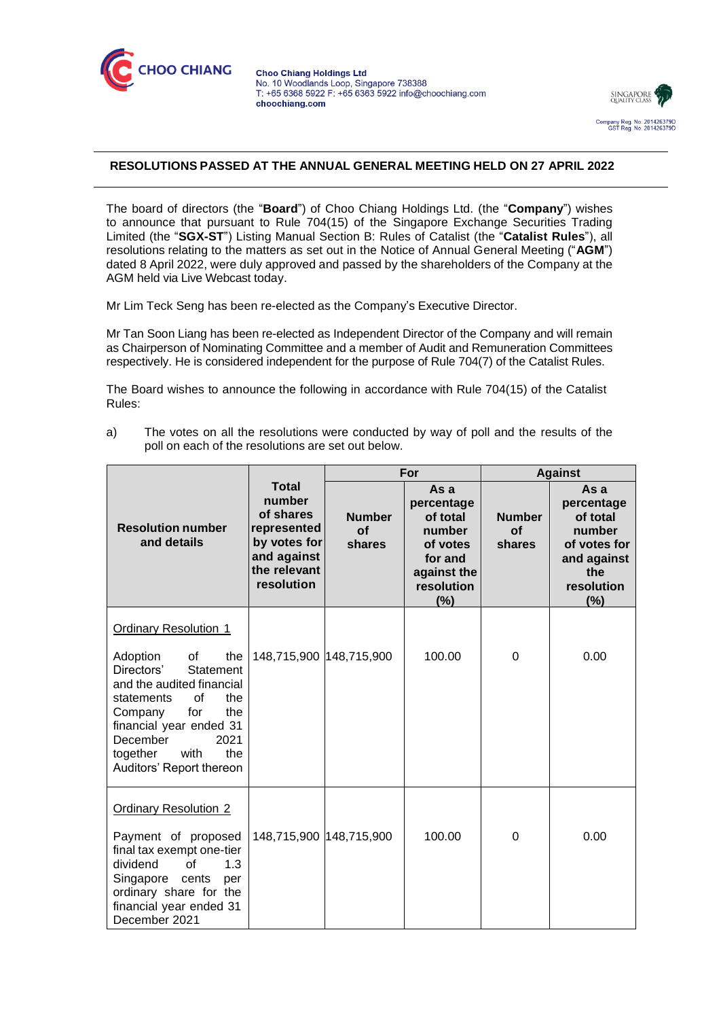



## **RESOLUTIONS PASSED AT THE ANNUAL GENERAL MEETING HELD ON 27 APRIL 2022**

The board of directors (the "**Board**") of Choo Chiang Holdings Ltd. (the "**Company**") wishes to announce that pursuant to Rule 704(15) of the Singapore Exchange Securities Trading Limited (the "**SGX-ST**") Listing Manual Section B: Rules of Catalist (the "**Catalist Rules**"), all resolutions relating to the matters as set out in the Notice of Annual General Meeting ("**AGM**") dated 8 April 2022, were duly approved and passed by the shareholders of the Company at the AGM held via Live Webcast today.

Mr Lim Teck Seng has been re-elected as the Company's Executive Director.

Mr Tan Soon Liang has been re-elected as Independent Director of the Company and will remain as Chairperson of Nominating Committee and a member of Audit and Remuneration Committees respectively. He is considered independent for the purpose of Rule 704(7) of the Catalist Rules.

The Board wishes to announce the following in accordance with Rule 704(15) of the Catalist Rules:

a) The votes on all the resolutions were conducted by way of poll and the results of the poll on each of the resolutions are set out below.

|                                                                                                                                                                                                                                         |                                                                                                          | For                                  |                                                                                                     | <b>Against</b>                |                                                                                                     |
|-----------------------------------------------------------------------------------------------------------------------------------------------------------------------------------------------------------------------------------------|----------------------------------------------------------------------------------------------------------|--------------------------------------|-----------------------------------------------------------------------------------------------------|-------------------------------|-----------------------------------------------------------------------------------------------------|
| <b>Resolution number</b><br>and details                                                                                                                                                                                                 | Total<br>number<br>of shares<br>represented<br>by votes for<br>and against<br>the relevant<br>resolution | <b>Number</b><br><b>of</b><br>shares | As a<br>percentage<br>of total<br>number<br>of votes<br>for and<br>against the<br>resolution<br>(%) | <b>Number</b><br>of<br>shares | As a<br>percentage<br>of total<br>number<br>of votes for<br>and against<br>the<br>resolution<br>(%) |
| <b>Ordinary Resolution 1</b>                                                                                                                                                                                                            |                                                                                                          |                                      |                                                                                                     |                               |                                                                                                     |
| Adoption<br>0f<br>the<br>Directors'<br>Statement<br>and the audited financial<br>Ωf<br>the<br>statements<br>Company<br>for<br>the<br>financial year ended 31<br>December<br>2021<br>together<br>with<br>the<br>Auditors' Report thereon | 148,715,900 148,715,900                                                                                  |                                      | 100.00                                                                                              | 0                             | 0.00                                                                                                |
| <b>Ordinary Resolution 2</b>                                                                                                                                                                                                            |                                                                                                          |                                      |                                                                                                     |                               |                                                                                                     |
| Payment of proposed<br>final tax exempt one-tier<br>of<br>1.3<br>dividend<br>Singapore<br>cents<br>per<br>ordinary share for the<br>financial year ended 31<br>December 2021                                                            | 148,715,900 148,715,900                                                                                  |                                      | 100.00                                                                                              | 0                             | 0.00                                                                                                |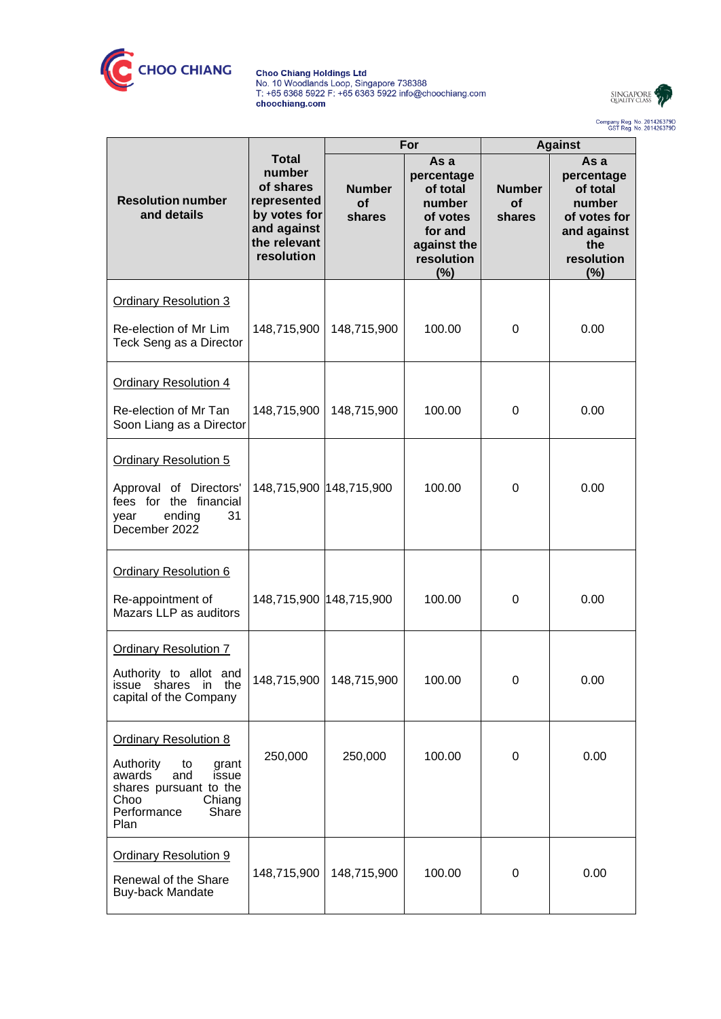

Choo Chiang Holdings Ltd<br>No. 10 Woodlands Loop, Singapore 738388<br>T: +65 6368 5922 F: +65 6363 5922 info@choochiang.com<br>choochiang.com



Company Reg. No. 201426379D<br>GST Reg. No. 201426379D

|                                                                                                                                                                |                                                                                                                 | For                           |                                                                                                     | <b>Against</b>                       |                                                                                                     |
|----------------------------------------------------------------------------------------------------------------------------------------------------------------|-----------------------------------------------------------------------------------------------------------------|-------------------------------|-----------------------------------------------------------------------------------------------------|--------------------------------------|-----------------------------------------------------------------------------------------------------|
| <b>Resolution number</b><br>and details                                                                                                                        | <b>Total</b><br>number<br>of shares<br>represented<br>by votes for<br>and against<br>the relevant<br>resolution | <b>Number</b><br>of<br>shares | As a<br>percentage<br>of total<br>number<br>of votes<br>for and<br>against the<br>resolution<br>(%) | <b>Number</b><br><b>of</b><br>shares | As a<br>percentage<br>of total<br>number<br>of votes for<br>and against<br>the<br>resolution<br>(%) |
| <b>Ordinary Resolution 3</b>                                                                                                                                   |                                                                                                                 |                               |                                                                                                     |                                      |                                                                                                     |
| Re-election of Mr Lim<br>Teck Seng as a Director                                                                                                               | 148,715,900                                                                                                     | 148,715,900                   | 100.00                                                                                              | $\mathbf 0$                          | 0.00                                                                                                |
| <b>Ordinary Resolution 4</b>                                                                                                                                   |                                                                                                                 |                               |                                                                                                     |                                      |                                                                                                     |
| Re-election of Mr Tan<br>Soon Liang as a Director                                                                                                              | 148,715,900                                                                                                     | 148,715,900                   | 100.00                                                                                              | 0                                    | 0.00                                                                                                |
| <b>Ordinary Resolution 5</b><br>Approval of Directors'<br>fees for the financial<br>31<br>ending<br>year<br>December 2022                                      | 148,715,900 148,715,900                                                                                         |                               | 100.00                                                                                              | $\mathbf 0$                          | 0.00                                                                                                |
| <b>Ordinary Resolution 6</b><br>Re-appointment of<br>Mazars LLP as auditors                                                                                    | 148,715,900 148,715,900                                                                                         |                               | 100.00                                                                                              | 0                                    | 0.00                                                                                                |
| <b>Ordinary Resolution 7</b><br>Authority to allot and<br>issue shares in the<br>capital of the Company                                                        | 148,715,900                                                                                                     | 148,715,900                   | 100.00                                                                                              | 0                                    | 0.00                                                                                                |
| <b>Ordinary Resolution 8</b><br>Authority<br>to<br>grant<br>awards<br>and<br>issue<br>shares pursuant to the<br>Choo<br>Chiang<br>Performance<br>Share<br>Plan | 250,000                                                                                                         | 250,000                       | 100.00                                                                                              | $\boldsymbol{0}$                     | 0.00                                                                                                |
| <b>Ordinary Resolution 9</b><br>Renewal of the Share<br>Buy-back Mandate                                                                                       | 148,715,900                                                                                                     | 148,715,900                   | 100.00                                                                                              | $\boldsymbol{0}$                     | 0.00                                                                                                |